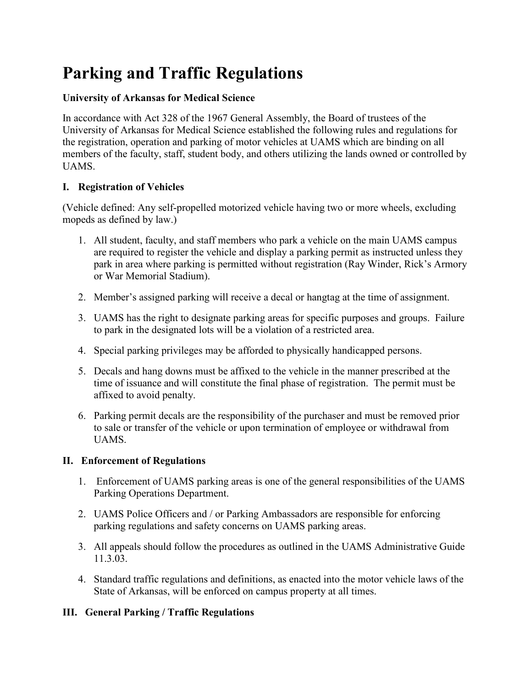# **Parking and Traffic Regulations**

### **University of Arkansas for Medical Science**

In accordance with Act 328 of the 1967 General Assembly, the Board of trustees of the University of Arkansas for Medical Science established the following rules and regulations for the registration, operation and parking of motor vehicles at UAMS which are binding on all members of the faculty, staff, student body, and others utilizing the lands owned or controlled by UAMS.

### **I. Registration of Vehicles**

(Vehicle defined: Any self-propelled motorized vehicle having two or more wheels, excluding mopeds as defined by law.)

- 1. All student, faculty, and staff members who park a vehicle on the main UAMS campus are required to register the vehicle and display a parking permit as instructed unless they park in area where parking is permitted without registration (Ray Winder, Rick's Armory or War Memorial Stadium).
- 2. Member's assigned parking will receive a decal or hangtag at the time of assignment.
- 3. UAMS has the right to designate parking areas for specific purposes and groups. Failure to park in the designated lots will be a violation of a restricted area.
- 4. Special parking privileges may be afforded to physically handicapped persons.
- 5. Decals and hang downs must be affixed to the vehicle in the manner prescribed at the time of issuance and will constitute the final phase of registration. The permit must be affixed to avoid penalty.
- 6. Parking permit decals are the responsibility of the purchaser and must be removed prior to sale or transfer of the vehicle or upon termination of employee or withdrawal from UAMS.

#### **II. Enforcement of Regulations**

- 1. Enforcement of UAMS parking areas is one of the general responsibilities of the UAMS Parking Operations Department.
- 2. UAMS Police Officers and / or Parking Ambassadors are responsible for enforcing parking regulations and safety concerns on UAMS parking areas.
- 3. All appeals should follow the procedures as outlined in the UAMS Administrative Guide 11.3.03.
- 4. Standard traffic regulations and definitions, as enacted into the motor vehicle laws of the State of Arkansas, will be enforced on campus property at all times.

## **III. General Parking / Traffic Regulations**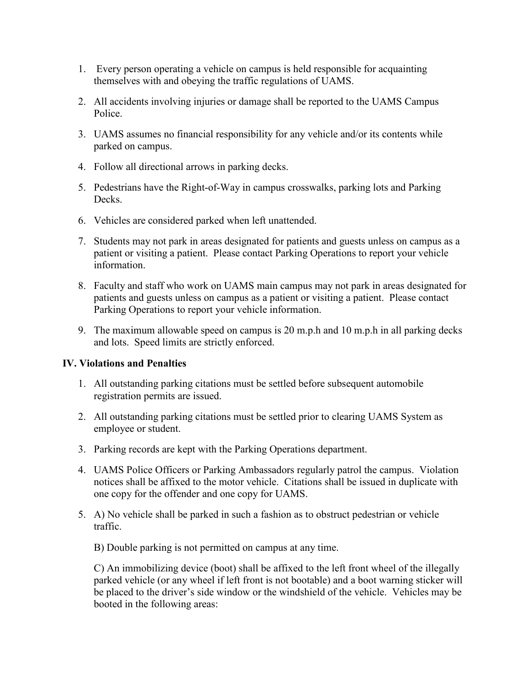- 1. Every person operating a vehicle on campus is held responsible for acquainting themselves with and obeying the traffic regulations of UAMS.
- 2. All accidents involving injuries or damage shall be reported to the UAMS Campus Police.
- 3. UAMS assumes no financial responsibility for any vehicle and/or its contents while parked on campus.
- 4. Follow all directional arrows in parking decks.
- 5. Pedestrians have the Right-of-Way in campus crosswalks, parking lots and Parking Decks.
- 6. Vehicles are considered parked when left unattended.
- 7. Students may not park in areas designated for patients and guests unless on campus as a patient or visiting a patient. Please contact Parking Operations to report your vehicle information.
- 8. Faculty and staff who work on UAMS main campus may not park in areas designated for patients and guests unless on campus as a patient or visiting a patient. Please contact Parking Operations to report your vehicle information.
- 9. The maximum allowable speed on campus is 20 m.p.h and 10 m.p.h in all parking decks and lots. Speed limits are strictly enforced.

#### **IV. Violations and Penalties**

- 1. All outstanding parking citations must be settled before subsequent automobile registration permits are issued.
- 2. All outstanding parking citations must be settled prior to clearing UAMS System as employee or student.
- 3. Parking records are kept with the Parking Operations department.
- 4. UAMS Police Officers or Parking Ambassadors regularly patrol the campus. Violation notices shall be affixed to the motor vehicle. Citations shall be issued in duplicate with one copy for the offender and one copy for UAMS.
- 5. A) No vehicle shall be parked in such a fashion as to obstruct pedestrian or vehicle traffic.

B) Double parking is not permitted on campus at any time.

C) An immobilizing device (boot) shall be affixed to the left front wheel of the illegally parked vehicle (or any wheel if left front is not bootable) and a boot warning sticker will be placed to the driver's side window or the windshield of the vehicle. Vehicles may be booted in the following areas: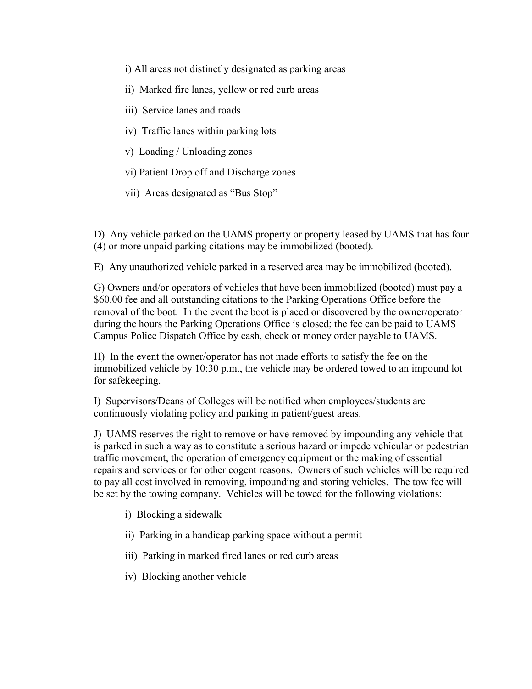- i) All areas not distinctly designated as parking areas
- ii) Marked fire lanes, yellow or red curb areas
- iii) Service lanes and roads
- iv) Traffic lanes within parking lots
- v) Loading / Unloading zones
- vi) Patient Drop off and Discharge zones
- vii) Areas designated as "Bus Stop"

D) Any vehicle parked on the UAMS property or property leased by UAMS that has four (4) or more unpaid parking citations may be immobilized (booted).

E) Any unauthorized vehicle parked in a reserved area may be immobilized (booted).

G) Owners and/or operators of vehicles that have been immobilized (booted) must pay a \$60.00 fee and all outstanding citations to the Parking Operations Office before the removal of the boot. In the event the boot is placed or discovered by the owner/operator during the hours the Parking Operations Office is closed; the fee can be paid to UAMS Campus Police Dispatch Office by cash, check or money order payable to UAMS.

H) In the event the owner/operator has not made efforts to satisfy the fee on the immobilized vehicle by 10:30 p.m., the vehicle may be ordered towed to an impound lot for safekeeping.

I) Supervisors/Deans of Colleges will be notified when employees/students are continuously violating policy and parking in patient/guest areas.

J) UAMS reserves the right to remove or have removed by impounding any vehicle that is parked in such a way as to constitute a serious hazard or impede vehicular or pedestrian traffic movement, the operation of emergency equipment or the making of essential repairs and services or for other cogent reasons. Owners of such vehicles will be required to pay all cost involved in removing, impounding and storing vehicles. The tow fee will be set by the towing company. Vehicles will be towed for the following violations:

- i) Blocking a sidewalk
- ii) Parking in a handicap parking space without a permit
- iii) Parking in marked fired lanes or red curb areas
- iv) Blocking another vehicle